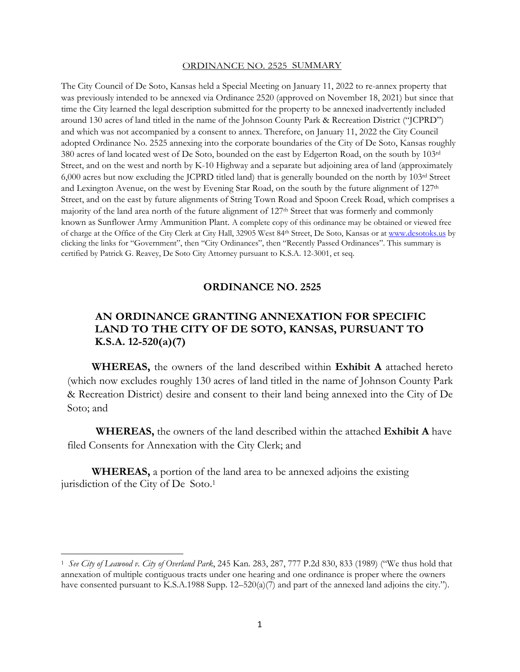## ORDINANCE NO. 2525 SUMMARY

The City Council of De Soto, Kansas held a Special Meeting on January 11, 2022 to re-annex property that was previously intended to be annexed via Ordinance 2520 (approved on November 18, 2021) but since that time the City learned the legal description submitted for the property to be annexed inadvertently included around 130 acres of land titled in the name of the Johnson County Park & Recreation District ("JCPRD") and which was not accompanied by a consent to annex. Therefore, on January 11, 2022 the City Council adopted Ordinance No. 2525 annexing into the corporate boundaries of the City of De Soto, Kansas roughly 380 acres of land located west of De Soto, bounded on the east by Edgerton Road, on the south by 103rd Street, and on the west and north by K-10 Highway and a separate but adjoining area of land (approximately 6,000 acres but now excluding the JCPRD titled land) that is generally bounded on the north by 103rd Street and Lexington Avenue, on the west by Evening Star Road, on the south by the future alignment of 127<sup>th</sup> Street, and on the east by future alignments of String Town Road and Spoon Creek Road, which comprises a majority of the land area north of the future alignment of 127th Street that was formerly and commonly known as Sunflower Army Ammunition Plant. A complete copy of this ordinance may be obtained or viewed free of charge at the Office of the City Clerk at City Hall, 32905 West 84th Street, De Soto, Kansas or at www.desotoks.us by clicking the links for "Government", then "City Ordinances", then "Recently Passed Ordinances". This summary is certified by Patrick G. Reavey, De Soto City Attorney pursuant to K.S.A. 12-3001, et seq.

## **ORDINANCE NO. 2525**

## **AN ORDINANCE GRANTING ANNEXATION FOR SPECIFIC LAND TO THE CITY OF DE SOTO, KANSAS, PURSUANT TO K.S.A. 12-520(a)(7)**

**WHEREAS,** the owners of the land described within **Exhibit A** attached hereto (which now excludes roughly 130 acres of land titled in the name of Johnson County Park & Recreation District) desire and consent to their land being annexed into the City of De Soto; and

**WHEREAS,** the owners of the land described within the attached **Exhibit A** have filed Consents for Annexation with the City Clerk; and

**WHEREAS,** a portion of the land area to be annexed adjoins the existing jurisdiction of the City of De Soto.1

<sup>1</sup> *See City of Leawood v. City of Overland Park*, 245 Kan. 283, 287, 777 P.2d 830, 833 (1989) ("We thus hold that annexation of multiple contiguous tracts under one hearing and one ordinance is proper where the owners have consented pursuant to K.S.A.1988 Supp.  $12-520(a)(7)$  and part of the annexed land adjoins the city.").